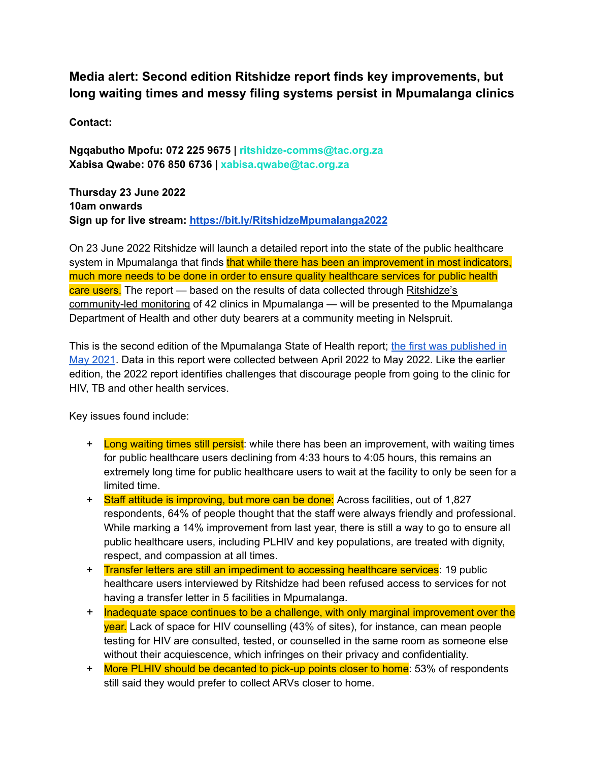## **Media alert: Second edition Ritshidze report finds key improvements, but long waiting times and messy filing systems persist in Mpumalanga clinics**

**Contact:**

**Ngqabutho Mpofu: 072 225 9675 | ritshidze-comms@tac.org.za Xabisa Qwabe: 076 850 6736 | xabisa.qwabe@tac.org.za**

**Thursday 23 June 2022 10am onwards Sign up for live stream: <https://bit.ly/RitshidzeMpumalanga2022>**

On 23 June 2022 Ritshidze will launch a detailed report into the state of the public healthcare system in Mpumalanga that finds that while there has been an improvement in most indicators, much more needs to be done in order to ensure quality healthcare services for public health care users. The report — based on the results of data collected through [Ritshidze's](https://ritshidze.org.za/the-model/) [community-led](https://ritshidze.org.za/the-model/) monitoring of 42 clinics in Mpumalanga — will be presented to the Mpumalanga Department of Health and other duty bearers at a community meeting in Nelspruit.

This is the second edition of the Mpumalanga State of Health report; the first was [published](https://ritshidze.org.za/wp-content/uploads/2021/05/Ritshidze-Mpumalanga-State-of-Health-May-2021-FINAL.pdf) in May [2021](https://ritshidze.org.za/wp-content/uploads/2021/05/Ritshidze-Mpumalanga-State-of-Health-May-2021-FINAL.pdf). Data in this report were collected between April 2022 to May 2022. Like the earlier edition, the 2022 report identifies challenges that discourage people from going to the clinic for HIV, TB and other health services.

Key issues found include:

- + Long waiting times still persist: while there has been an improvement, with waiting times for public healthcare users declining from 4:33 hours to 4:05 hours, this remains an extremely long time for public healthcare users to wait at the facility to only be seen for a limited time.
- + Staff attitude is improving, but more can be done: Across facilities, out of 1,827 respondents, 64% of people thought that the staff were always friendly and professional. While marking a 14% improvement from last year, there is still a way to go to ensure all public healthcare users, including PLHIV and key populations, are treated with dignity, respect, and compassion at all times.
- + Transfer letters are still an impediment to accessing healthcare services: 19 public healthcare users interviewed by Ritshidze had been refused access to services for not having a transfer letter in 5 facilities in Mpumalanga.
- + Inadequate space continues to be a challenge, with only marginal improvement over the year. Lack of space for HIV counselling (43% of sites), for instance, can mean people testing for HIV are consulted, tested, or counselled in the same room as someone else without their acquiescence, which infringes on their privacy and confidentiality.
- + More PLHIV should be decanted to pick-up points closer to home: 53% of respondents still said they would prefer to collect ARVs closer to home.